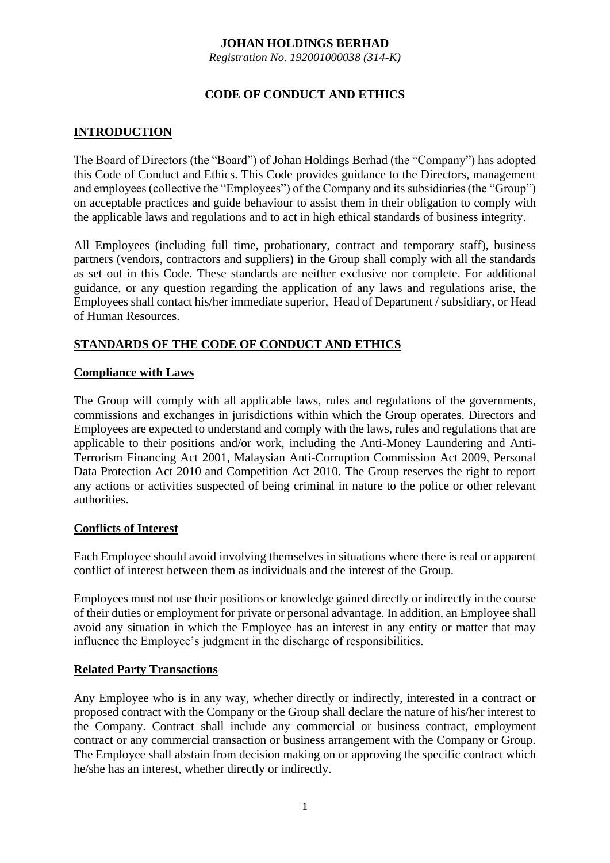## **JOHAN HOLDINGS BERHAD**

*Registration No. 192001000038 (314-K)*

# **CODE OF CONDUCT AND ETHICS**

# **INTRODUCTION**

The Board of Directors (the "Board") of Johan Holdings Berhad (the "Company") has adopted this Code of Conduct and Ethics. This Code provides guidance to the Directors, management and employees (collective the "Employees") of the Company and its subsidiaries (the "Group") on acceptable practices and guide behaviour to assist them in their obligation to comply with the applicable laws and regulations and to act in high ethical standards of business integrity.

All Employees (including full time, probationary, contract and temporary staff), business partners (vendors, contractors and suppliers) in the Group shall comply with all the standards as set out in this Code. These standards are neither exclusive nor complete. For additional guidance, or any question regarding the application of any laws and regulations arise, the Employees shall contact his/her immediate superior, Head of Department / subsidiary, or Head of Human Resources.

# **STANDARDS OF THE CODE OF CONDUCT AND ETHICS**

#### **Compliance with Laws**

The Group will comply with all applicable laws, rules and regulations of the governments, commissions and exchanges in jurisdictions within which the Group operates. Directors and Employees are expected to understand and comply with the laws, rules and regulations that are applicable to their positions and/or work, including the Anti-Money Laundering and Anti-Terrorism Financing Act 2001, Malaysian Anti-Corruption Commission Act 2009, Personal Data Protection Act 2010 and Competition Act 2010. The Group reserves the right to report any actions or activities suspected of being criminal in nature to the police or other relevant authorities.

#### **Conflicts of Interest**

Each Employee should avoid involving themselves in situations where there is real or apparent conflict of interest between them as individuals and the interest of the Group.

Employees must not use their positions or knowledge gained directly or indirectly in the course of their duties or employment for private or personal advantage. In addition, an Employee shall avoid any situation in which the Employee has an interest in any entity or matter that may influence the Employee's judgment in the discharge of responsibilities.

#### **Related Party Transactions**

Any Employee who is in any way, whether directly or indirectly, interested in a contract or proposed contract with the Company or the Group shall declare the nature of his/her interest to the Company. Contract shall include any commercial or business contract, employment contract or any commercial transaction or business arrangement with the Company or Group. The Employee shall abstain from decision making on or approving the specific contract which he/she has an interest, whether directly or indirectly.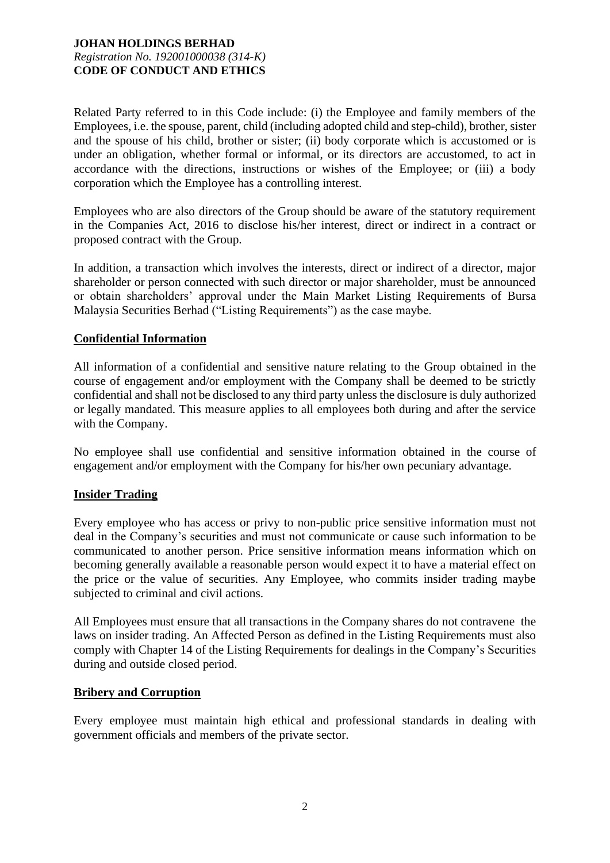Related Party referred to in this Code include: (i) the Employee and family members of the Employees, i.e. the spouse, parent, child (including adopted child and step-child), brother, sister and the spouse of his child, brother or sister; (ii) body corporate which is accustomed or is under an obligation, whether formal or informal, or its directors are accustomed, to act in accordance with the directions, instructions or wishes of the Employee; or (iii) a body corporation which the Employee has a controlling interest.

Employees who are also directors of the Group should be aware of the statutory requirement in the Companies Act, 2016 to disclose his/her interest, direct or indirect in a contract or proposed contract with the Group.

In addition, a transaction which involves the interests, direct or indirect of a director, major shareholder or person connected with such director or major shareholder, must be announced or obtain shareholders' approval under the Main Market Listing Requirements of Bursa Malaysia Securities Berhad ("Listing Requirements") as the case maybe.

## **Confidential Information**

All information of a confidential and sensitive nature relating to the Group obtained in the course of engagement and/or employment with the Company shall be deemed to be strictly confidential and shall not be disclosed to any third party unless the disclosure is duly authorized or legally mandated. This measure applies to all employees both during and after the service with the Company.

No employee shall use confidential and sensitive information obtained in the course of engagement and/or employment with the Company for his/her own pecuniary advantage.

#### **Insider Trading**

Every employee who has access or privy to non-public price sensitive information must not deal in the Company's securities and must not communicate or cause such information to be communicated to another person. Price sensitive information means information which on becoming generally available a reasonable person would expect it to have a material effect on the price or the value of securities. Any Employee, who commits insider trading maybe subjected to criminal and civil actions.

All Employees must ensure that all transactions in the Company shares do not contravene the laws on insider trading. An Affected Person as defined in the Listing Requirements must also comply with Chapter 14 of the Listing Requirements for dealings in the Company's Securities during and outside closed period.

#### **Bribery and Corruption**

Every employee must maintain high ethical and professional standards in dealing with government officials and members of the private sector.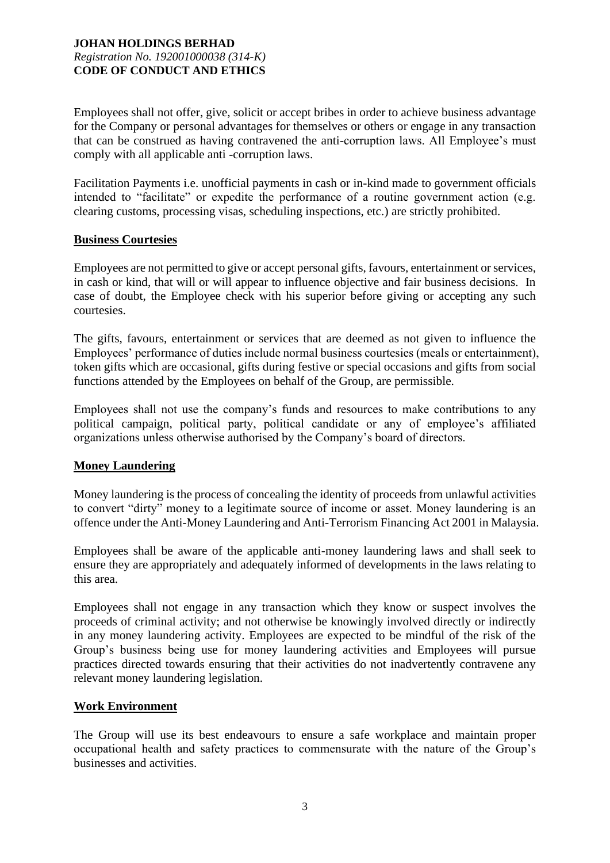Employees shall not offer, give, solicit or accept bribes in order to achieve business advantage for the Company or personal advantages for themselves or others or engage in any transaction that can be construed as having contravened the anti-corruption laws. All Employee's must comply with all applicable anti -corruption laws.

Facilitation Payments i.e. unofficial payments in cash or in-kind made to government officials intended to "facilitate" or expedite the performance of a routine government action (e.g. clearing customs, processing visas, scheduling inspections, etc.) are strictly prohibited.

## **Business Courtesies**

Employees are not permitted to give or accept personal gifts, favours, entertainment or services, in cash or kind, that will or will appear to influence objective and fair business decisions. In case of doubt, the Employee check with his superior before giving or accepting any such courtesies.

The gifts, favours, entertainment or services that are deemed as not given to influence the Employees' performance of duties include normal business courtesies (meals or entertainment), token gifts which are occasional, gifts during festive or special occasions and gifts from social functions attended by the Employees on behalf of the Group, are permissible.

Employees shall not use the company's funds and resources to make contributions to any political campaign, political party, political candidate or any of employee's affiliated organizations unless otherwise authorised by the Company's board of directors.

# **Money Laundering**

Money laundering is the process of concealing the identity of proceeds from unlawful activities to convert "dirty" money to a legitimate source of income or asset. Money laundering is an offence under the Anti-Money Laundering and Anti-Terrorism Financing Act 2001 in Malaysia.

Employees shall be aware of the applicable anti-money laundering laws and shall seek to ensure they are appropriately and adequately informed of developments in the laws relating to this area.

Employees shall not engage in any transaction which they know or suspect involves the proceeds of criminal activity; and not otherwise be knowingly involved directly or indirectly in any money laundering activity. Employees are expected to be mindful of the risk of the Group's business being use for money laundering activities and Employees will pursue practices directed towards ensuring that their activities do not inadvertently contravene any relevant money laundering legislation.

#### **Work Environment**

The Group will use its best endeavours to ensure a safe workplace and maintain proper occupational health and safety practices to commensurate with the nature of the Group's businesses and activities.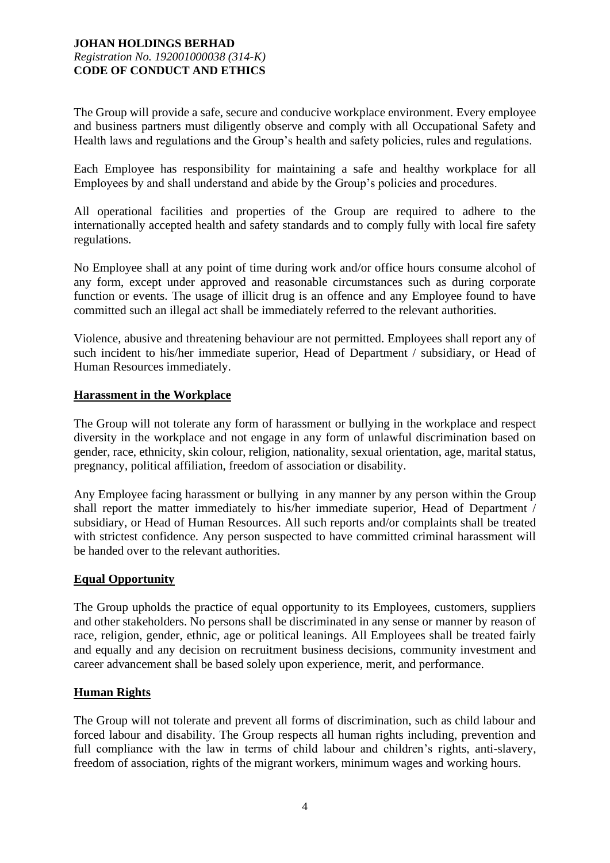The Group will provide a safe, secure and conducive workplace environment. Every employee and business partners must diligently observe and comply with all Occupational Safety and Health laws and regulations and the Group's health and safety policies, rules and regulations.

Each Employee has responsibility for maintaining a safe and healthy workplace for all Employees by and shall understand and abide by the Group's policies and procedures.

All operational facilities and properties of the Group are required to adhere to the internationally accepted health and safety standards and to comply fully with local fire safety regulations.

No Employee shall at any point of time during work and/or office hours consume alcohol of any form, except under approved and reasonable circumstances such as during corporate function or events. The usage of illicit drug is an offence and any Employee found to have committed such an illegal act shall be immediately referred to the relevant authorities.

Violence, abusive and threatening behaviour are not permitted. Employees shall report any of such incident to his/her immediate superior, Head of Department / subsidiary, or Head of Human Resources immediately.

## **Harassment in the Workplace**

The Group will not tolerate any form of harassment or bullying in the workplace and respect diversity in the workplace and not engage in any form of unlawful discrimination based on gender, race, ethnicity, skin colour, religion, nationality, sexual orientation, age, marital status, pregnancy, political affiliation, freedom of association or disability.

Any Employee facing harassment or bullying in any manner by any person within the Group shall report the matter immediately to his/her immediate superior, Head of Department / subsidiary, or Head of Human Resources. All such reports and/or complaints shall be treated with strictest confidence. Any person suspected to have committed criminal harassment will be handed over to the relevant authorities.

#### **Equal Opportunity**

The Group upholds the practice of equal opportunity to its Employees, customers, suppliers and other stakeholders. No persons shall be discriminated in any sense or manner by reason of race, religion, gender, ethnic, age or political leanings. All Employees shall be treated fairly and equally and any decision on recruitment business decisions, community investment and career advancement shall be based solely upon experience, merit, and performance.

# **Human Rights**

The Group will not tolerate and prevent all forms of discrimination, such as child labour and forced labour and disability. The Group respects all human rights including, prevention and full compliance with the law in terms of child labour and children's rights, anti-slavery, freedom of association, rights of the migrant workers, minimum wages and working hours.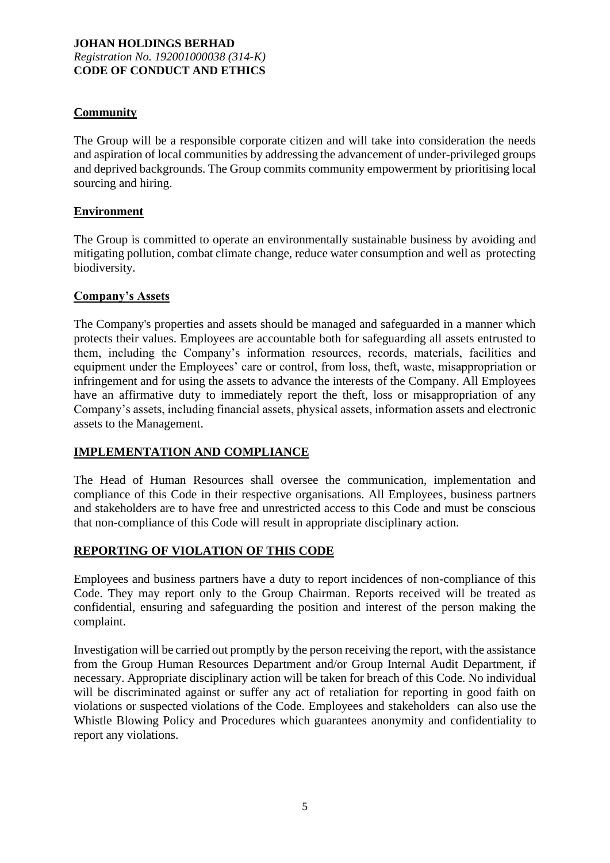# **Community**

The Group will be a responsible corporate citizen and will take into consideration the needs and aspiration of local communities by addressing the advancement of under-privileged groups and deprived backgrounds. The Group commits community empowerment by prioritising local sourcing and hiring.

# **Environment**

The Group is committed to operate an environmentally sustainable business by avoiding and mitigating pollution, combat climate change, reduce water consumption and well as protecting biodiversity.

## **Company's Assets**

The Company's properties and assets should be managed and safeguarded in a manner which protects their values. Employees are accountable both for safeguarding all assets entrusted to them, including the Company's information resources, records, materials, facilities and equipment under the Employees' care or control, from loss, theft, waste, misappropriation or infringement and for using the assets to advance the interests of the Company. All Employees have an affirmative duty to immediately report the theft, loss or misappropriation of any Company's assets, including financial assets, physical assets, information assets and electronic assets to the Management.

# **IMPLEMENTATION AND COMPLIANCE**

The Head of Human Resources shall oversee the communication, implementation and compliance of this Code in their respective organisations. All Employees, business partners and stakeholders are to have free and unrestricted access to this Code and must be conscious that non-compliance of this Code will result in appropriate disciplinary action.

# **REPORTING OF VIOLATION OF THIS CODE**

Employees and business partners have a duty to report incidences of non-compliance of this Code. They may report only to the Group Chairman. Reports received will be treated as confidential, ensuring and safeguarding the position and interest of the person making the complaint.

Investigation will be carried out promptly by the person receiving the report, with the assistance from the Group Human Resources Department and/or Group Internal Audit Department, if necessary. Appropriate disciplinary action will be taken for breach of this Code. No individual will be discriminated against or suffer any act of retaliation for reporting in good faith on violations or suspected violations of the Code. Employees and stakeholders can also use the Whistle Blowing Policy and Procedures which guarantees anonymity and confidentiality to report any violations.